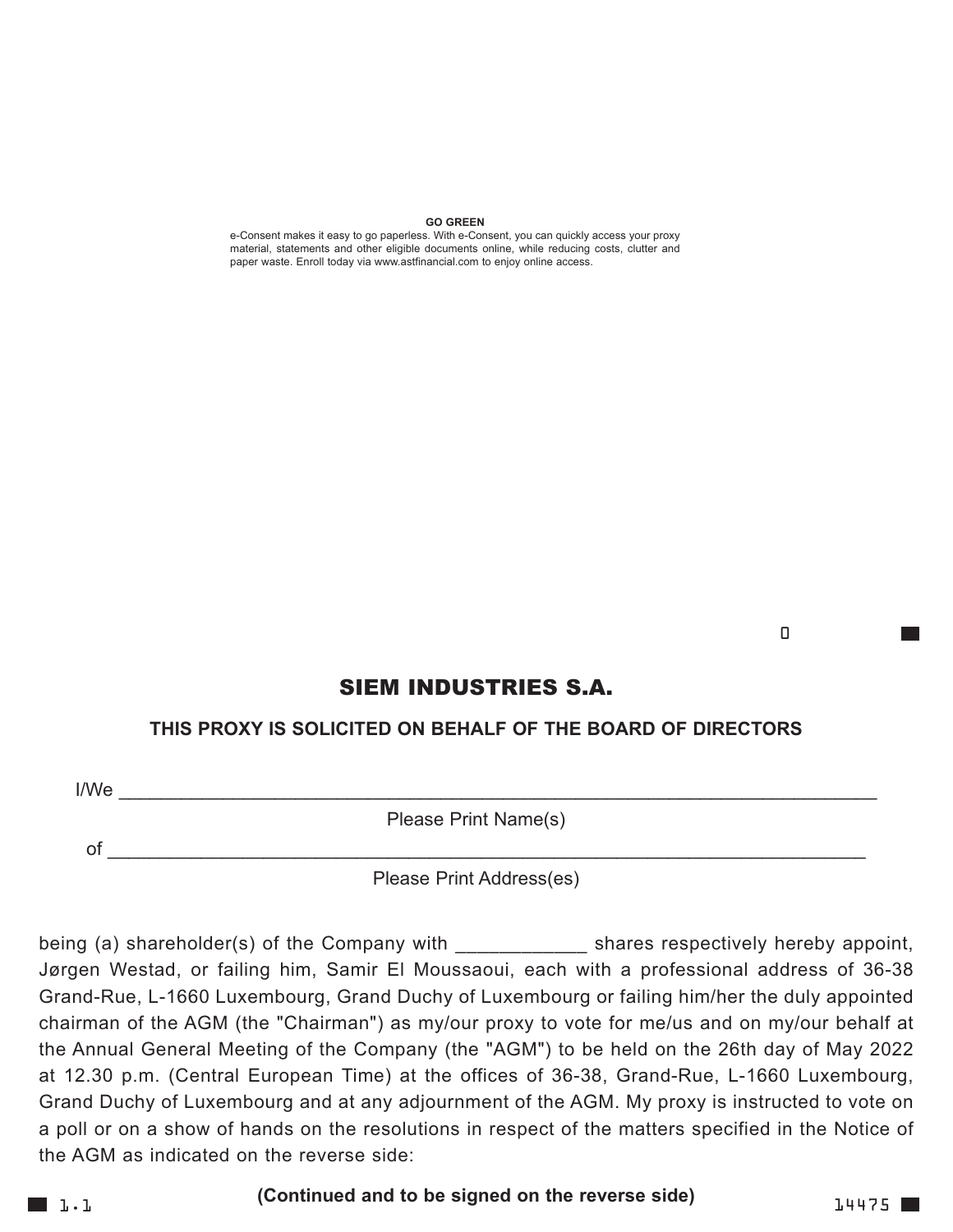#### **GO GREEN**

e-Consent makes it easy to go paperless. With e-Consent, you can quickly access your proxy material, statements and other eligible documents online, while reducing costs, clutter and paper waste. Enroll today via www.astfinancial.com to enjoy online access.

<u>de la componentación de la componentación de la componentación de la componentación de la componentación de l</u>

## SIEM INDUSTRIES S.A.

## **THIS PROXY IS SOLICITED ON BEHALF OF THE BOARD OF DIRECTORS**

I/We \_\_\_\_\_\_\_\_\_\_\_\_\_\_\_\_\_\_\_\_\_\_\_\_\_\_\_\_\_\_\_\_\_\_\_\_\_\_\_\_\_\_\_\_\_\_\_\_\_\_\_\_\_\_\_\_\_\_\_\_\_\_\_\_\_\_\_\_\_\_\_\_\_

Please Print Name(s)

of \_\_\_\_\_\_\_\_\_\_\_\_\_\_\_\_\_\_\_\_\_\_\_\_\_\_\_\_\_\_\_\_\_\_\_\_\_\_\_\_\_\_\_\_\_\_\_\_\_\_\_\_\_\_\_\_\_\_\_\_\_\_\_\_\_\_\_\_\_\_\_\_\_

Please Print Address(es)

being (a) shareholder(s) of the Company with \_\_\_\_\_\_\_\_\_\_\_\_\_\_\_\_\_\_\_\_ shares respectively hereby appoint, Jørgen Westad, or failing him, Samir El Moussaoui, each with a professional address of 36-38 Grand-Rue, L-1660 Luxembourg, Grand Duchy of Luxembourg or failing him/her the duly appointed chairman of the AGM (the "Chairman") as my/our proxy to vote for me/us and on my/our behalf at the Annual General Meeting of the Company (the "AGM") to be held on the 26th day of May 2022 at 12.30 p.m. (Central European Time) at the offices of 36-38, Grand-Rue, L-1660 Luxembourg, Grand Duchy of Luxembourg and at any adjournment of the AGM. My proxy is instructed to vote on a poll or on a show of hands on the resolutions in respect of the matters specified in the Notice of the AGM as indicated on the reverse side:

**1.1** 

**(Continued and to be signed on the reverse side)**